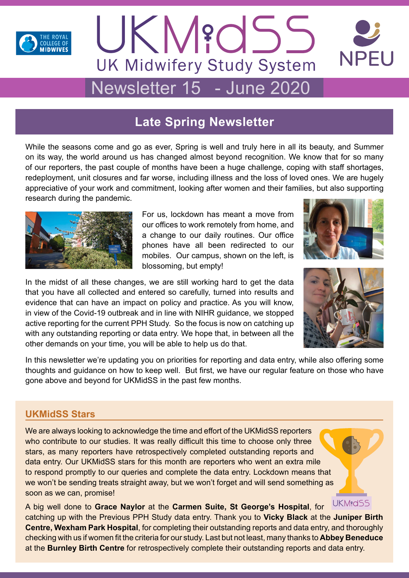

# UKM?OSS **UK Midwifery Study System** Newsletter 15 - June 2020

# **Late Spring Newsletter**

While the seasons come and go as ever, Spring is well and truly here in all its beauty, and Summer on its way, the world around us has changed almost beyond recognition. We know that for so many of our reporters, the past couple of months have been a huge challenge, coping with staff shortages, redeployment, unit closures and far worse, including illness and the loss of loved ones. We are hugely appreciative of your work and commitment, looking after women and their families, but also supporting research during the pandemic.



For us, lockdown has meant a move from our offices to work remotely from home, and a change to our daily routines. Our office phones have all been redirected to our mobiles. Our campus, shown on the left, is blossoming, but empty!



**NPFU** 

In the midst of all these changes, we are still working hard to get the data that you have all collected and entered so carefully, turned into results and evidence that can have an impact on policy and practice. As you will know, in view of the Covid-19 outbreak and in line with NIHR guidance, we stopped active reporting for the current PPH Study. So the focus is now on catching up with any outstanding reporting or data entry. We hope that, in between all the other demands on your time, you will be able to help us do that.



In this newsletter we're updating you on priorities for reporting and data entry, while also offering some thoughts and guidance on how to keep well. But first, we have our regular feature on those who have gone above and beyond for UKMidSS in the past few months.

# **UKMidSS Stars**

We are always looking to acknowledge the time and effort of the UKMidSS reporters who contribute to our studies. It was really difficult this time to choose only three stars, as many reporters have retrospectively completed outstanding reports and data entry. Our UKMidSS stars for this month are reporters who went an extra mile to respond promptly to our queries and complete the data entry. Lockdown means that we won't be sending treats straight away, but we won't forget and will send something as soon as we can, promise!

**UKMidSS** A big well done to **Grace Naylor** at the **Carmen Suite, St George's Hospital**, for catching up with the Previous PPH Study data entry. Thank you to **Vicky Black** at the **Juniper Birth Centre, Wexham Park Hospital**, for completing their outstanding reports and data entry, and thoroughly checking with us if women fit the criteria for our study. Last but not least, many thanks to **Abbey Beneduce** at the **Burnley Birth Centre** for retrospectively complete their outstanding reports and data entry.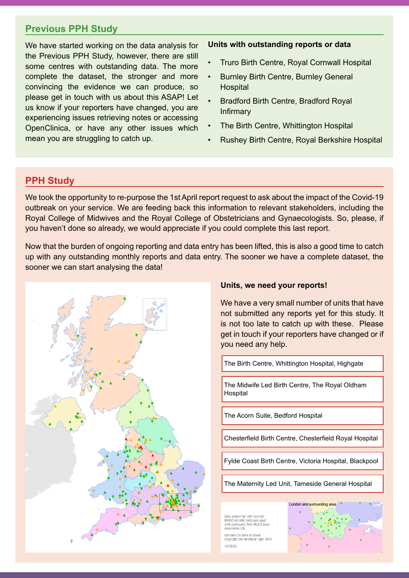### **Previous PPH Study**

We have started working on the data analysis for the Previous PPH Study, however, there are still some centres with outstanding data. The more complete the dataset, the stronger and more convincing the evidence we can produce, so please get in touch with us about this ASAP! Let us know if your reporters have changed, you are experiencing issues retrieving notes or accessing OpenClinica, or have any other issues which mean you are struggling to catch up.

#### **Units with outstanding reports or data**

- Truro Birth Centre, Royal Cornwall Hospital
- Burnley Birth Centre, Burnley General **Hospital**
- Bradford Birth Centre, Bradford Royal Infirmary
- The Birth Centre, Whittington Hospital
- Rushey Birth Centre, Royal Berkshire Hospital

# **PPH Study**

We took the opportunity to re-purpose the 1st April report request to ask about the impact of the Covid-19 outbreak on your service. We are feeding back this information to relevant stakeholders, including the Royal College of Midwives and the Royal College of Obstetricians and Gynaecologists. So, please, if you haven't done so already, we would appreciate if you could complete this last report.

Now that the burden of ongoing reporting and data entry has been lifted, this is also a good time to catch up with any outstanding monthly reports and data entry. The sooner we have a complete dataset, the sooner we can start analysing the data!



#### **Units, we need your reports!**

We have a very small number of units that have not submitted any reports yet for this study. It is not too late to catch up with these. Please get in touch if your reporters have changed or if South (South East) 92% **%Reports submitted Sep '19—Mar '20** you need any help.<br>**Wide** Northern Ireland 90% North (Cheshire and Merseyside) 98%

The Birth Centre, Whittington Hospital, Highgate South (South Central) 88%

London 86% The Midwife Led Birth Centre, The Royal Oldham<br>Usenitel London 86% North (Yorkshire and Humber) 87% Wales 84% and the United States **Hospital** 

<u>Wales 84% (March 2001), which is a strong strong strong strong strong strong strong strong strong strong strong strong strong strong strong strong strong strong strong strong strong strong strong strong strong strong stro</u>

Midlandsand East (Central Midlands) 71%

Midlandsand East (North Midlands) 70%

**UK total 85%**

The Acorn Suite, Bedford Hospital

Chesterfield Birth Centre, Chesterfield Royal Hospital **Canac UK total 85%**

Fylde Coast Birth Centre, Victoria Hospital, Blackpool

The Maternity Led Unit, Tameside General Hospital

Data source for unit location:<br>BirthChoiceUK database; used themsition catalogic, ascar<br>ith permission from Rod Gibsor Associates Ltd

Contains OS data © Crown<br>copyright and database right 2015 18/05/20



Midlandsand East (East) 91% Northern Ireland 90% Scotland 88%  $\overline{\phantom{a}}$  south  $\overline{\phantom{a}}$ 

South (South West) 82% Midlandsand East (Central Midlands) 71% South (Wessex) 76% Midlandsand East (North Midlands) 70%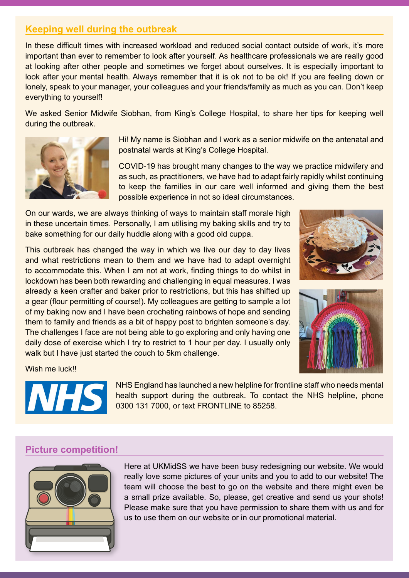# **Keeping well during the outbreak**

In these difficult times with increased workload and reduced social contact outside of work, it's more important than ever to remember to look after yourself. As healthcare professionals we are really good at looking after other people and sometimes we forget about ourselves. It is especially important to look after your mental health. Always remember that it is ok not to be ok! If you are feeling down or lonely, speak to your manager, your colleagues and your friends/family as much as you can. Don't keep everything to yourself!

We asked Senior Midwife Siobhan, from King's College Hospital, to share her tips for keeping well during the outbreak.



Hi! My name is Siobhan and I work as a senior midwife on the antenatal and postnatal wards at King's College Hospital.

COVID-19 has brought many changes to the way we practice midwifery and as such, as practitioners, we have had to adapt fairly rapidly whilst continuing to keep the families in our care well informed and giving them the best possible experience in not so ideal circumstances.

On our wards, we are always thinking of ways to maintain staff morale high in these uncertain times. Personally, I am utilising my baking skills and try to bake something for our daily huddle along with a good old cuppa.

This outbreak has changed the way in which we live our day to day lives and what restrictions mean to them and we have had to adapt overnight to accommodate this. When I am not at work, finding things to do whilst in lockdown has been both rewarding and challenging in equal measures. I was already a keen crafter and baker prior to restrictions, but this has shifted up a gear (flour permitting of course!). My colleagues are getting to sample a lot of my baking now and I have been crocheting rainbows of hope and sending them to family and friends as a bit of happy post to brighten someone's day. The challenges I face are not being able to go exploring and only having one daily dose of exercise which I try to restrict to 1 hour per day. I usually only walk but I have just started the couch to 5km challenge.





Wish me luck!!



NHS England has launched a new helpline for frontline staff who needs mental health support during the outbreak. To contact the NHS helpline, phone 0300 131 7000, or text FRONTLINE to 85258.

#### **Picture competition!**



Here at UKMidSS we have been busy redesigning our website. We would really love some pictures of your units and you to add to our website! The team will choose the best to go on the website and there might even be a small prize available. So, please, get creative and send us your shots! Please make sure that you have permission to share them with us and for us to use them on our website or in our promotional material.